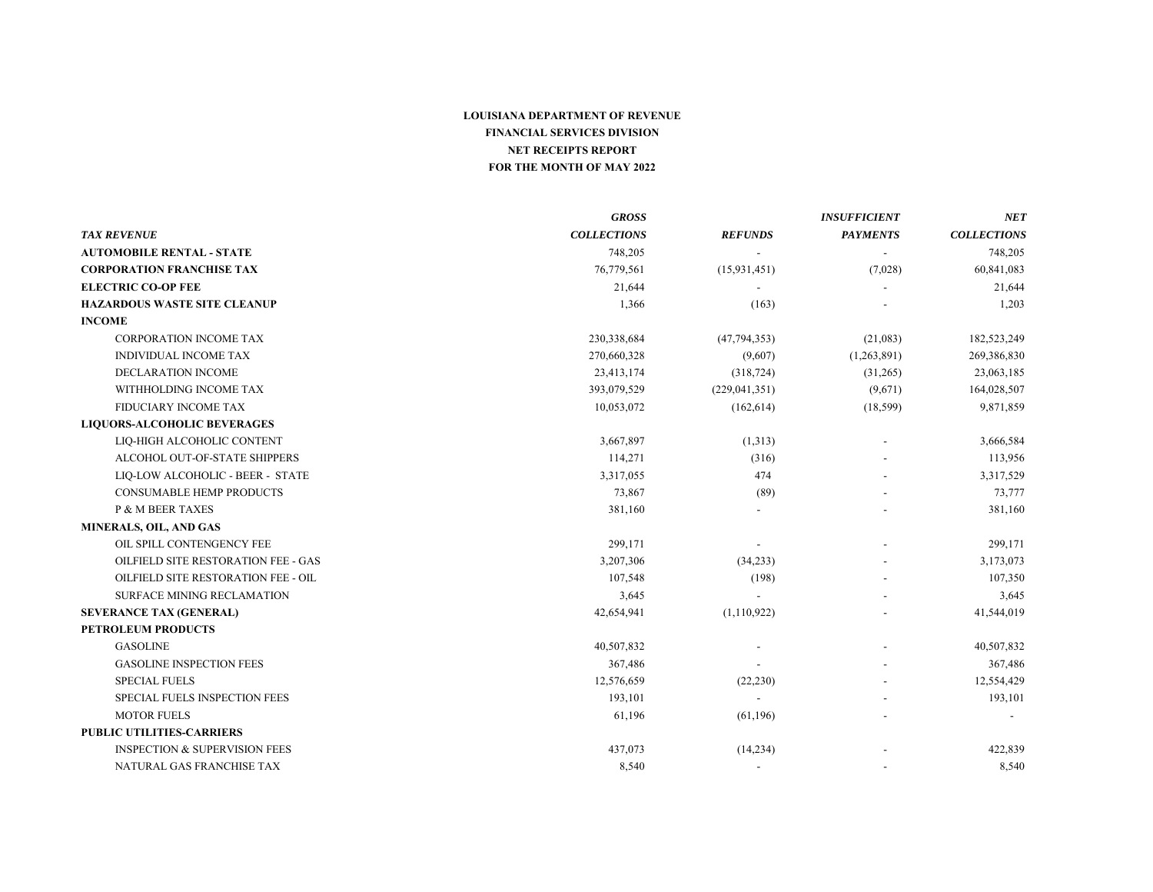|                                          | <b>GROSS</b>       |                 | <b>INSUFFICIENT</b> | NET                |
|------------------------------------------|--------------------|-----------------|---------------------|--------------------|
| <b>TAX REVENUE</b>                       | <b>COLLECTIONS</b> | <b>REFUNDS</b>  | <b>PAYMENTS</b>     | <b>COLLECTIONS</b> |
| <b>AUTOMOBILE RENTAL - STATE</b>         | 748,205            |                 |                     | 748,205            |
| <b>CORPORATION FRANCHISE TAX</b>         | 76,779,561         | (15, 931, 451)  | (7,028)             | 60,841,083         |
| <b>ELECTRIC CO-OP FEE</b>                | 21,644             |                 |                     | 21,644             |
| <b>HAZARDOUS WASTE SITE CLEANUP</b>      | 1,366              | (163)           |                     | 1,203              |
| <b>INCOME</b>                            |                    |                 |                     |                    |
| <b>CORPORATION INCOME TAX</b>            | 230,338,684        | (47, 794, 353)  | (21,083)            | 182,523,249        |
| <b>INDIVIDUAL INCOME TAX</b>             | 270,660,328        | (9,607)         | (1,263,891)         | 269,386,830        |
| <b>DECLARATION INCOME</b>                | 23,413,174         | (318, 724)      | (31,265)            | 23,063,185         |
| WITHHOLDING INCOME TAX                   | 393,079,529        | (229, 041, 351) | (9,671)             | 164,028,507        |
| FIDUCIARY INCOME TAX                     | 10,053,072         | (162, 614)      | (18, 599)           | 9,871,859          |
| <b>LIQUORS-ALCOHOLIC BEVERAGES</b>       |                    |                 |                     |                    |
| LIO-HIGH ALCOHOLIC CONTENT               | 3,667,897          | (1,313)         |                     | 3,666,584          |
| ALCOHOL OUT-OF-STATE SHIPPERS            | 114,271            | (316)           |                     | 113,956            |
| LIQ-LOW ALCOHOLIC - BEER - STATE         | 3,317,055          | 474             |                     | 3,317,529          |
| <b>CONSUMABLE HEMP PRODUCTS</b>          | 73,867             | (89)            |                     | 73,777             |
| P & M BEER TAXES                         | 381,160            |                 |                     | 381,160            |
| MINERALS, OIL, AND GAS                   |                    |                 |                     |                    |
| OIL SPILL CONTENGENCY FEE                | 299,171            |                 |                     | 299,171            |
| OILFIELD SITE RESTORATION FEE - GAS      | 3,207,306          | (34,233)        |                     | 3,173,073          |
| OILFIELD SITE RESTORATION FEE - OIL      | 107,548            | (198)           |                     | 107,350            |
| <b>SURFACE MINING RECLAMATION</b>        | 3,645              |                 |                     | 3,645              |
| <b>SEVERANCE TAX (GENERAL)</b>           | 42,654,941         | (1,110,922)     |                     | 41,544,019         |
| <b>PETROLEUM PRODUCTS</b>                |                    |                 |                     |                    |
| <b>GASOLINE</b>                          | 40,507,832         |                 |                     | 40,507,832         |
| <b>GASOLINE INSPECTION FEES</b>          | 367,486            |                 |                     | 367,486            |
| <b>SPECIAL FUELS</b>                     | 12,576,659         | (22, 230)       |                     | 12,554,429         |
| SPECIAL FUELS INSPECTION FEES            | 193,101            |                 |                     | 193,101            |
| <b>MOTOR FUELS</b>                       | 61,196             | (61, 196)       |                     |                    |
| <b>PUBLIC UTILITIES-CARRIERS</b>         |                    |                 |                     |                    |
| <b>INSPECTION &amp; SUPERVISION FEES</b> | 437,073            | (14, 234)       |                     | 422,839            |
| NATURAL GAS FRANCHISE TAX                | 8.540              |                 |                     | 8,540              |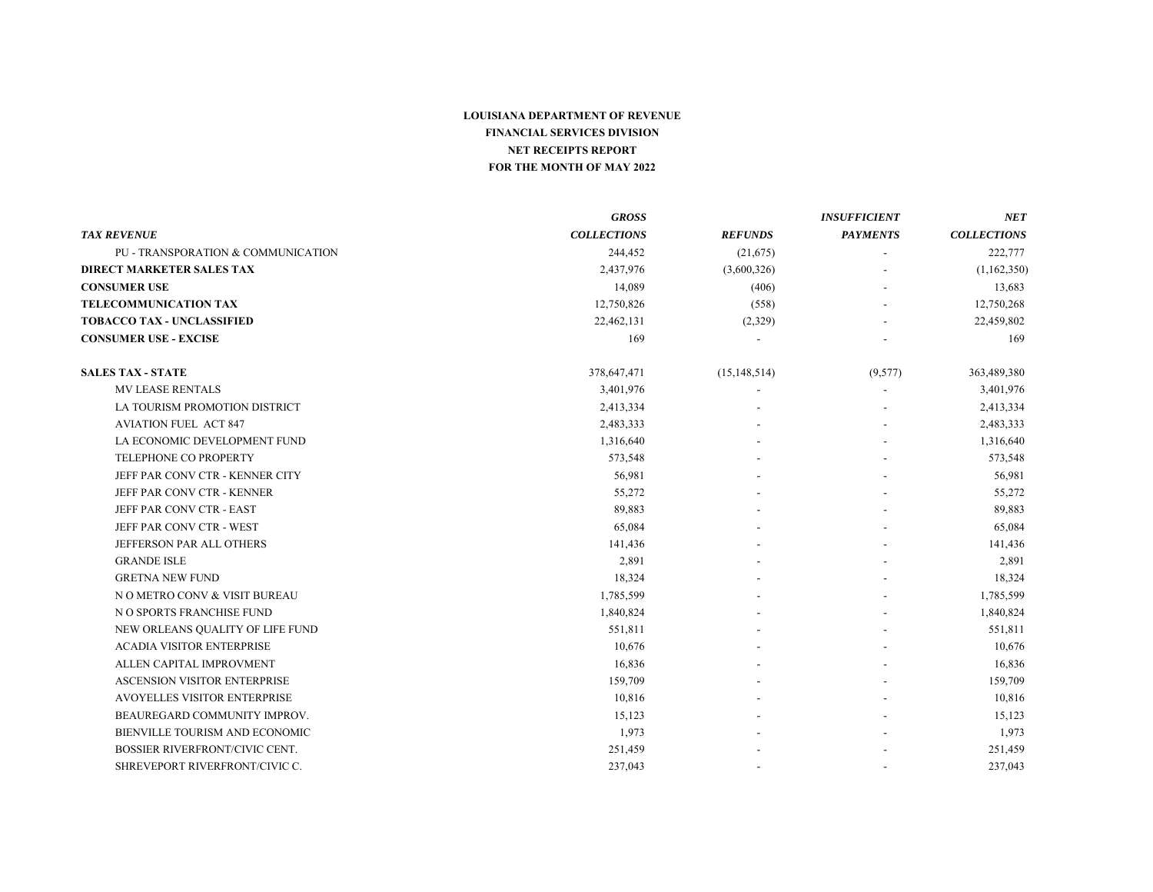|                                     | <b>GROSS</b>       |                | <b>INSUFFICIENT</b> | NET                |
|-------------------------------------|--------------------|----------------|---------------------|--------------------|
| <b>TAX REVENUE</b>                  | <b>COLLECTIONS</b> | <b>REFUNDS</b> | <b>PAYMENTS</b>     | <b>COLLECTIONS</b> |
| PU - TRANSPORATION & COMMUNICATION  | 244,452            | (21,675)       |                     | 222,777            |
| <b>DIRECT MARKETER SALES TAX</b>    | 2,437,976          | (3,600,326)    |                     | (1,162,350)        |
| <b>CONSUMER USE</b>                 | 14,089             | (406)          |                     | 13,683             |
| <b>TELECOMMUNICATION TAX</b>        | 12,750,826         | (558)          |                     | 12,750,268         |
| <b>TOBACCO TAX - UNCLASSIFIED</b>   | 22,462,131         | (2,329)        |                     | 22,459,802         |
| <b>CONSUMER USE - EXCISE</b>        | 169                |                |                     | 169                |
| <b>SALES TAX - STATE</b>            | 378,647,471        | (15, 148, 514) | (9,577)             | 363,489,380        |
| <b>MV LEASE RENTALS</b>             | 3,401,976          |                |                     | 3,401,976          |
| LA TOURISM PROMOTION DISTRICT       | 2,413,334          |                |                     | 2,413,334          |
| <b>AVIATION FUEL ACT 847</b>        | 2,483,333          |                |                     | 2,483,333          |
| LA ECONOMIC DEVELOPMENT FUND        | 1,316,640          |                |                     | 1,316,640          |
| TELEPHONE CO PROPERTY               | 573,548            |                |                     | 573,548            |
| JEFF PAR CONV CTR - KENNER CITY     | 56,981             |                |                     | 56,981             |
| JEFF PAR CONV CTR - KENNER          | 55,272             |                |                     | 55,272             |
| JEFF PAR CONV CTR - EAST            | 89,883             |                |                     | 89,883             |
| JEFF PAR CONV CTR - WEST            | 65,084             |                |                     | 65,084             |
| JEFFERSON PAR ALL OTHERS            | 141,436            |                |                     | 141,436            |
| <b>GRANDE ISLE</b>                  | 2,891              |                |                     | 2,891              |
| <b>GRETNA NEW FUND</b>              | 18,324             |                |                     | 18,324             |
| N O METRO CONV & VISIT BUREAU       | 1,785,599          |                |                     | 1,785,599          |
| N O SPORTS FRANCHISE FUND           | 1,840,824          |                |                     | 1,840,824          |
| NEW ORLEANS QUALITY OF LIFE FUND    | 551,811            |                |                     | 551,811            |
| <b>ACADIA VISITOR ENTERPRISE</b>    | 10,676             |                |                     | 10,676             |
| ALLEN CAPITAL IMPROVMENT            | 16,836             |                |                     | 16,836             |
| <b>ASCENSION VISITOR ENTERPRISE</b> | 159,709            |                |                     | 159,709            |
| <b>AVOYELLES VISITOR ENTERPRISE</b> | 10,816             |                |                     | 10,816             |
| BEAUREGARD COMMUNITY IMPROV.        | 15,123             |                |                     | 15,123             |
| BIENVILLE TOURISM AND ECONOMIC      | 1,973              |                |                     | 1,973              |
| BOSSIER RIVERFRONT/CIVIC CENT.      | 251,459            |                |                     | 251,459            |
| SHREVEPORT RIVERFRONT/CIVIC C.      | 237,043            |                |                     | 237,043            |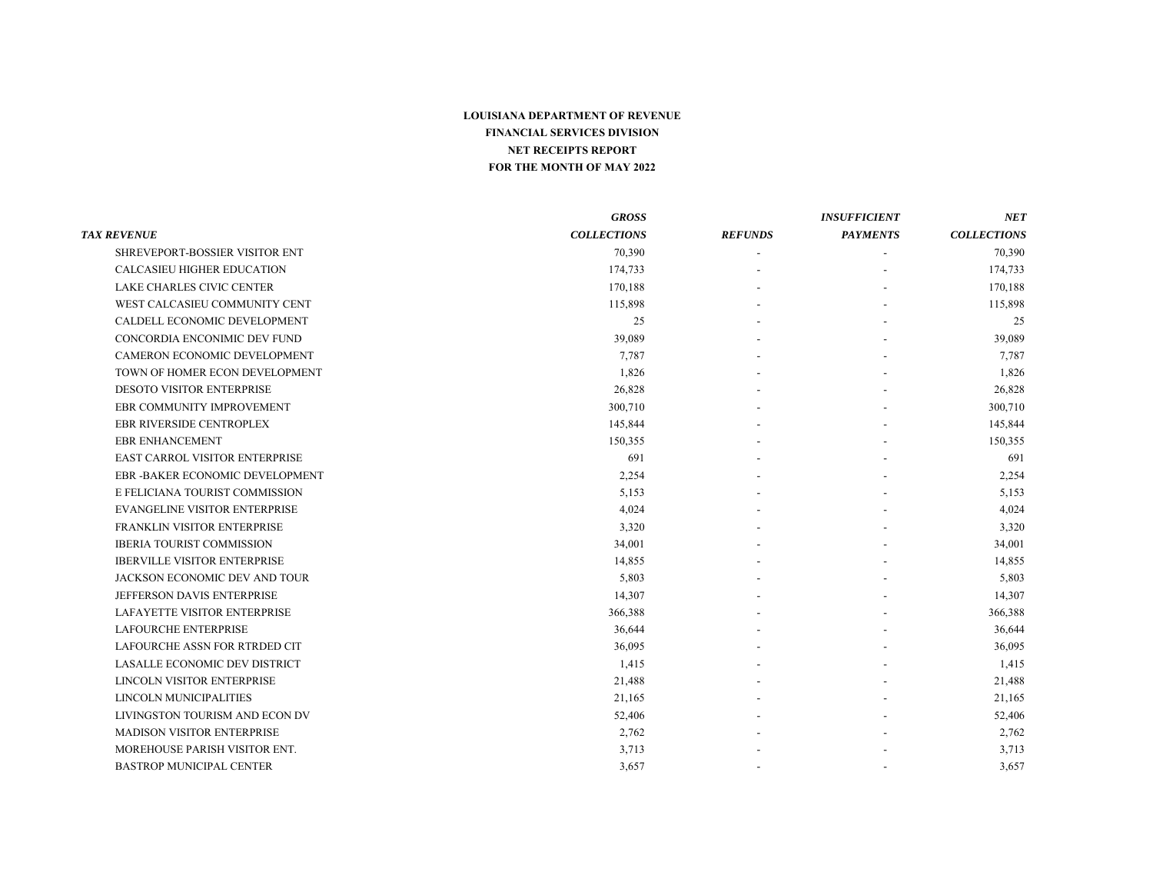|                                       | <b>GROSS</b>       |                          | <b>INSUFFICIENT</b> | NET                |
|---------------------------------------|--------------------|--------------------------|---------------------|--------------------|
| <b>TAX REVENUE</b>                    | <b>COLLECTIONS</b> | <b>REFUNDS</b>           | <b>PAYMENTS</b>     | <b>COLLECTIONS</b> |
| SHREVEPORT-BOSSIER VISITOR ENT        | 70,390             |                          |                     | 70,390             |
| CALCASIEU HIGHER EDUCATION            | 174,733            |                          |                     | 174,733            |
| LAKE CHARLES CIVIC CENTER             | 170,188            |                          |                     | 170,188            |
| WEST CALCASIEU COMMUNITY CENT         | 115,898            |                          |                     | 115,898            |
| CALDELL ECONOMIC DEVELOPMENT          | 25                 |                          |                     | 25                 |
| CONCORDIA ENCONIMIC DEV FUND          | 39,089             |                          |                     | 39,089             |
| CAMERON ECONOMIC DEVELOPMENT          | 7,787              |                          |                     | 7,787              |
| TOWN OF HOMER ECON DEVELOPMENT        | 1,826              |                          |                     | 1,826              |
| <b>DESOTO VISITOR ENTERPRISE</b>      | 26,828             |                          |                     | 26,828             |
| EBR COMMUNITY IMPROVEMENT             | 300,710            |                          |                     | 300,710            |
| <b>EBR RIVERSIDE CENTROPLEX</b>       | 145,844            |                          |                     | 145,844            |
| <b>EBR ENHANCEMENT</b>                | 150,355            |                          |                     | 150,355            |
| <b>EAST CARROL VISITOR ENTERPRISE</b> | 691                |                          |                     | 691                |
| EBR - BAKER ECONOMIC DEVELOPMENT      | 2,254              |                          |                     | 2,254              |
| E FELICIANA TOURIST COMMISSION        | 5,153              |                          |                     | 5,153              |
| <b>EVANGELINE VISITOR ENTERPRISE</b>  | 4,024              |                          |                     | 4,024              |
| FRANKLIN VISITOR ENTERPRISE           | 3,320              |                          |                     | 3,320              |
| <b>IBERIA TOURIST COMMISSION</b>      | 34,001             |                          |                     | 34,001             |
| <b>IBERVILLE VISITOR ENTERPRISE</b>   | 14,855             |                          |                     | 14,855             |
| JACKSON ECONOMIC DEV AND TOUR         | 5,803              |                          |                     | 5,803              |
| JEFFERSON DAVIS ENTERPRISE            | 14,307             |                          |                     | 14,307             |
| LAFAYETTE VISITOR ENTERPRISE          | 366,388            |                          |                     | 366,388            |
| <b>LAFOURCHE ENTERPRISE</b>           | 36,644             |                          |                     | 36,644             |
| LAFOURCHE ASSN FOR RTRDED CIT         | 36,095             |                          |                     | 36,095             |
| LASALLE ECONOMIC DEV DISTRICT         | 1,415              |                          |                     | 1,415              |
| LINCOLN VISITOR ENTERPRISE            | 21,488             |                          |                     | 21,488             |
| <b>LINCOLN MUNICIPALITIES</b>         | 21,165             |                          |                     | 21,165             |
| LIVINGSTON TOURISM AND ECON DV        | 52,406             |                          |                     | 52,406             |
| MADISON VISITOR ENTERPRISE            | 2,762              |                          |                     | 2,762              |
| MOREHOUSE PARISH VISITOR ENT.         | 3,713              |                          |                     | 3,713              |
| <b>BASTROP MUNICIPAL CENTER</b>       | 3.657              | $\overline{\phantom{a}}$ |                     | 3.657              |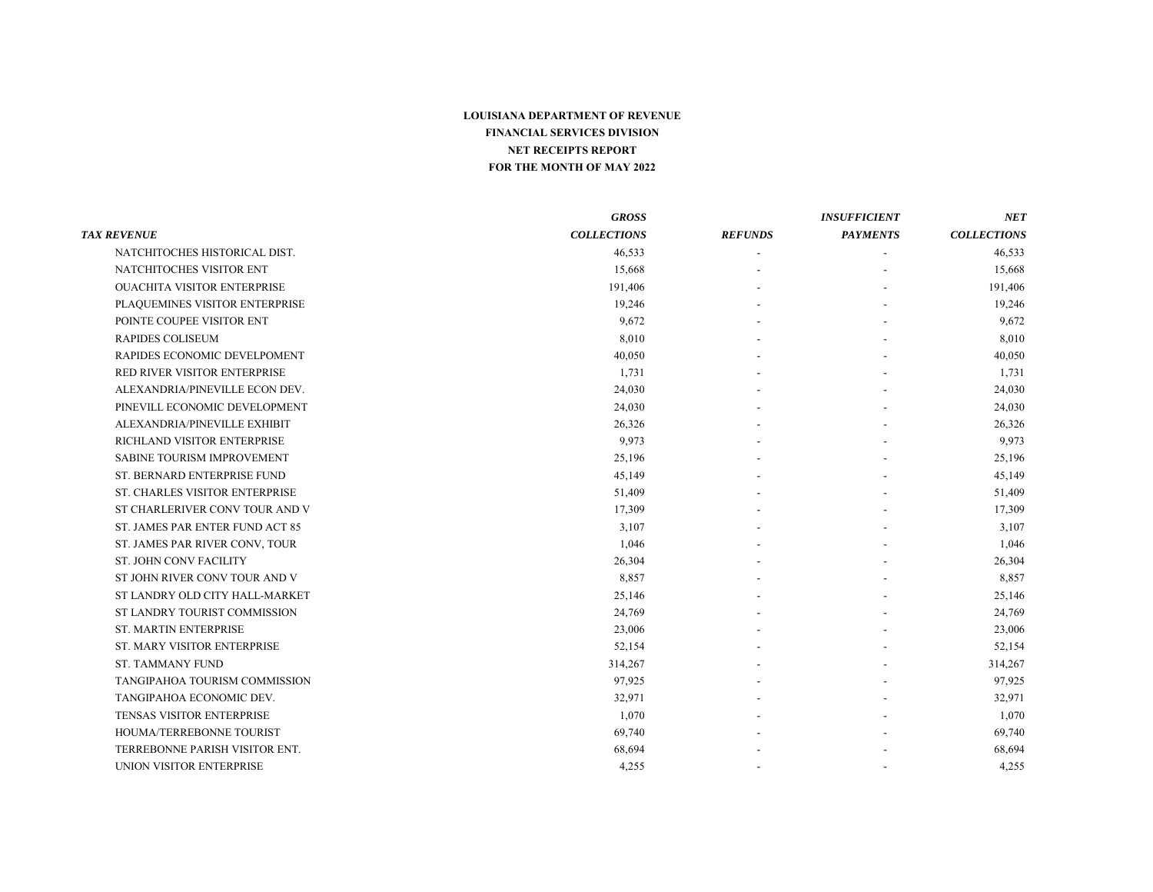|                                    | <b>GROSS</b>       |                | <b>INSUFFICIENT</b>      | NET                |
|------------------------------------|--------------------|----------------|--------------------------|--------------------|
| <b>TAX REVENUE</b>                 | <b>COLLECTIONS</b> | <b>REFUNDS</b> | <b>PAYMENTS</b>          | <b>COLLECTIONS</b> |
| NATCHITOCHES HISTORICAL DIST.      | 46,533             |                |                          | 46,533             |
| NATCHITOCHES VISITOR ENT           | 15,668             |                |                          | 15,668             |
| <b>OUACHITA VISITOR ENTERPRISE</b> | 191,406            |                |                          | 191,406            |
| PLAQUEMINES VISITOR ENTERPRISE     | 19,246             |                |                          | 19,246             |
| POINTE COUPEE VISITOR ENT          | 9,672              |                |                          | 9,672              |
| <b>RAPIDES COLISEUM</b>            | 8,010              |                |                          | 8,010              |
| RAPIDES ECONOMIC DEVELPOMENT       | 40,050             |                |                          | 40,050             |
| RED RIVER VISITOR ENTERPRISE       | 1,731              |                |                          | 1,731              |
| ALEXANDRIA/PINEVILLE ECON DEV.     | 24,030             |                |                          | 24,030             |
| PINEVILL ECONOMIC DEVELOPMENT      | 24,030             |                |                          | 24,030             |
| ALEXANDRIA/PINEVILLE EXHIBIT       | 26,326             |                |                          | 26,326             |
| RICHLAND VISITOR ENTERPRISE        | 9,973              |                |                          | 9,973              |
| SABINE TOURISM IMPROVEMENT         | 25,196             |                |                          | 25,196             |
| ST. BERNARD ENTERPRISE FUND        | 45,149             |                |                          | 45,149             |
| ST. CHARLES VISITOR ENTERPRISE     | 51,409             |                |                          | 51,409             |
| ST CHARLERIVER CONV TOUR AND V     | 17,309             |                |                          | 17,309             |
| ST. JAMES PAR ENTER FUND ACT 85    | 3,107              |                |                          | 3,107              |
| ST. JAMES PAR RIVER CONV, TOUR     | 1,046              |                |                          | 1,046              |
| <b>ST. JOHN CONV FACILITY</b>      | 26,304             |                |                          | 26,304             |
| ST JOHN RIVER CONV TOUR AND V      | 8,857              |                |                          | 8,857              |
| ST LANDRY OLD CITY HALL-MARKET     | 25,146             |                |                          | 25,146             |
| ST LANDRY TOURIST COMMISSION       | 24,769             |                |                          | 24,769             |
| <b>ST. MARTIN ENTERPRISE</b>       | 23,006             |                |                          | 23,006             |
| ST. MARY VISITOR ENTERPRISE        | 52,154             |                |                          | 52,154             |
| <b>ST. TAMMANY FUND</b>            | 314,267            |                |                          | 314,267            |
| TANGIPAHOA TOURISM COMMISSION      | 97,925             |                |                          | 97,925             |
| TANGIPAHOA ECONOMIC DEV.           | 32,971             |                |                          | 32,971             |
| TENSAS VISITOR ENTERPRISE          | 1,070              |                |                          | 1,070              |
| HOUMA/TERREBONNE TOURIST           | 69,740             |                |                          | 69,740             |
| TERREBONNE PARISH VISITOR ENT.     | 68,694             |                |                          | 68,694             |
| UNION VISITOR ENTERPRISE           | 4.255              |                | $\overline{\phantom{a}}$ | 4,255              |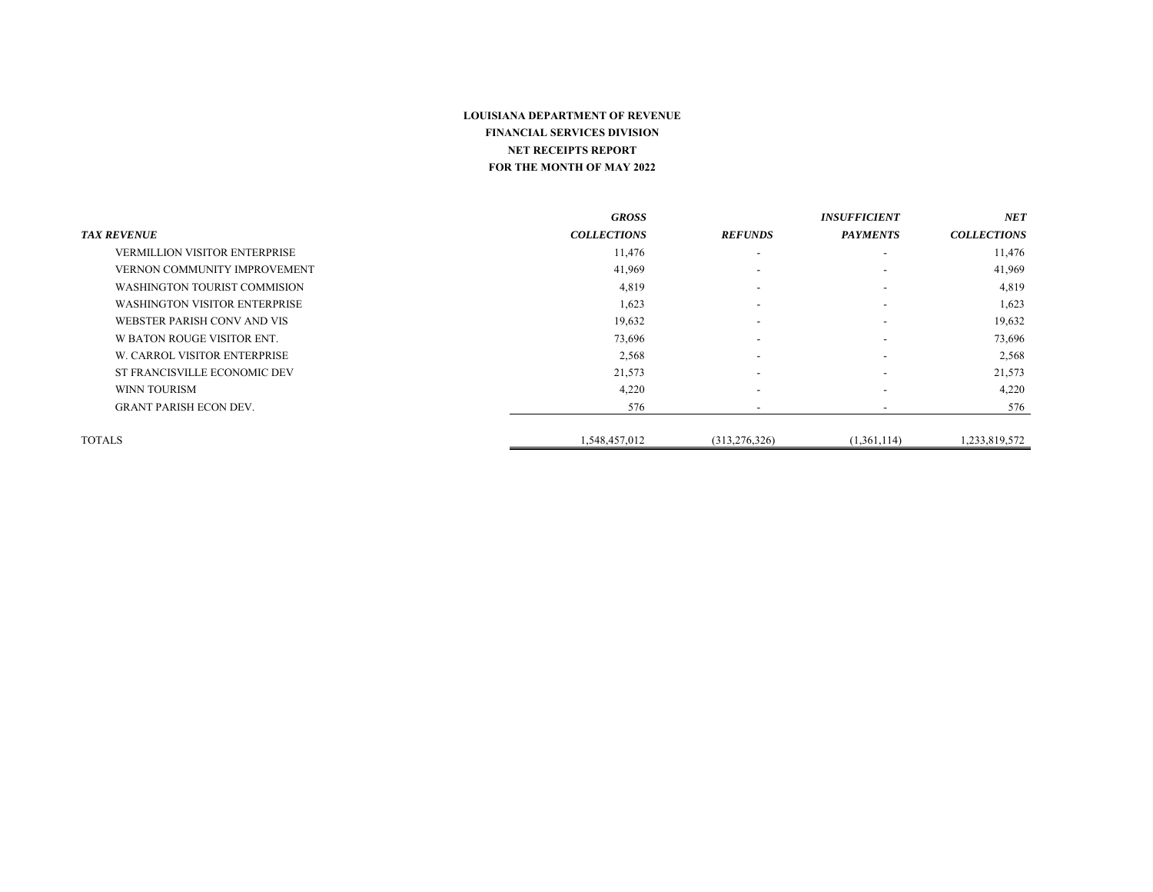|                                      | <b>GROSS</b>       |                          | <b>INSUFFICIENT</b>      | NET                |
|--------------------------------------|--------------------|--------------------------|--------------------------|--------------------|
| <b>TAX REVENUE</b>                   | <b>COLLECTIONS</b> | <b>REFUNDS</b>           | <b>PAYMENTS</b>          | <b>COLLECTIONS</b> |
| <b>VERMILLION VISITOR ENTERPRISE</b> | 11,476             | $\overline{\phantom{a}}$ | $\overline{\phantom{a}}$ | 11,476             |
| VERNON COMMUNITY IMPROVEMENT         | 41,969             | $\overline{\phantom{a}}$ | $\overline{\phantom{a}}$ | 41,969             |
| WASHINGTON TOURIST COMMISION         | 4,819              | $\overline{\phantom{0}}$ |                          | 4,819              |
| <b>WASHINGTON VISITOR ENTERPRISE</b> | 1,623              | $\overline{\phantom{a}}$ | $\overline{\phantom{a}}$ | 1,623              |
| WEBSTER PARISH CONV AND VIS          | 19,632             | $\overline{\phantom{a}}$ | $\overline{\phantom{a}}$ | 19,632             |
| W BATON ROUGE VISITOR ENT.           | 73,696             | $\overline{\phantom{a}}$ |                          | 73,696             |
| W. CARROL VISITOR ENTERPRISE         | 2,568              | $\overline{\phantom{0}}$ | $\overline{\phantom{a}}$ | 2,568              |
| ST FRANCISVILLE ECONOMIC DEV         | 21,573             | $\overline{\phantom{a}}$ |                          | 21,573             |
| WINN TOURISM                         | 4,220              | $\overline{\phantom{a}}$ | $\overline{\phantom{a}}$ | 4,220              |
| <b>GRANT PARISH ECON DEV.</b>        | 576                | $\overline{\phantom{0}}$ | $\overline{\phantom{a}}$ | 576                |
| <b>TOTALS</b>                        | 1,548,457,012      | (313, 276, 326)          | (1,361,114)              | 1,233,819,572      |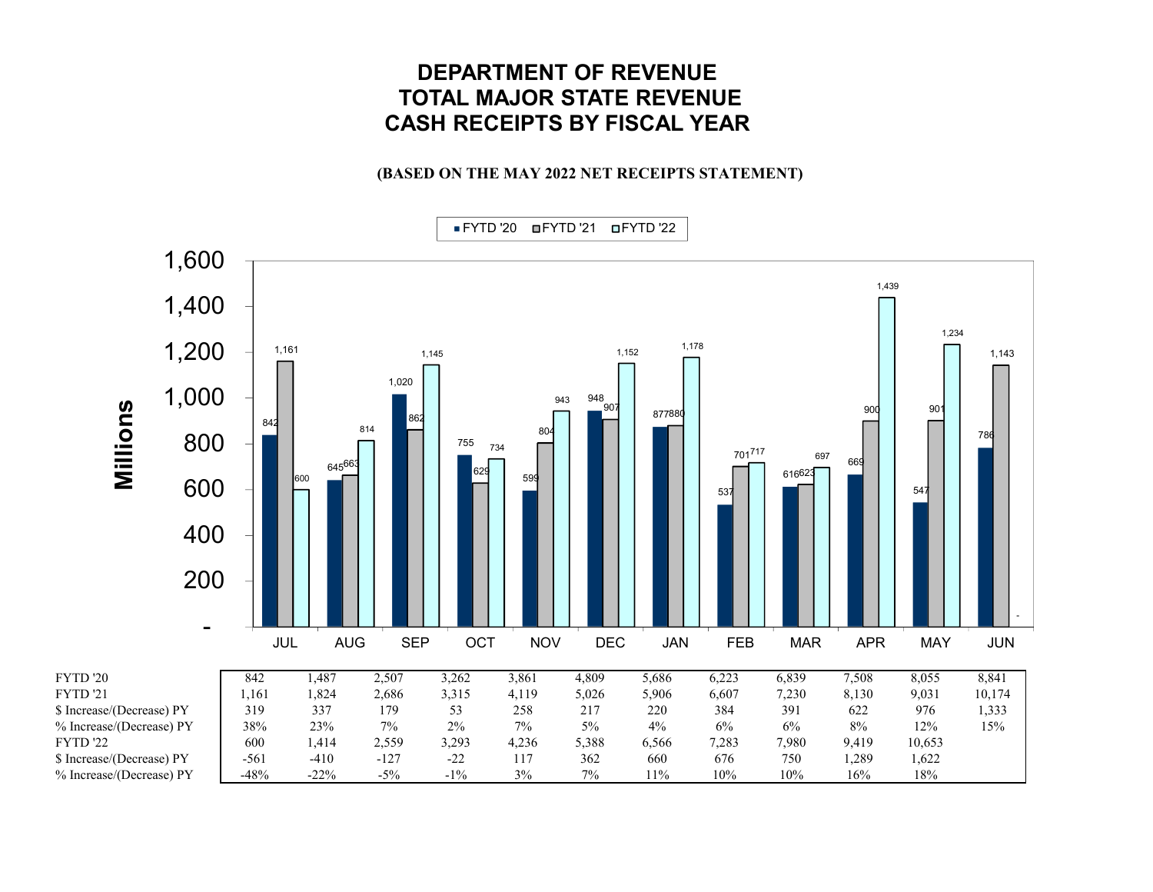# **DEPARTMENT OF REVENUETOTAL MAJOR STATE REVENUE CASH RECEIPTS BY FISCAL YEAR**

### **(BASED ON THE MAY 2022 NET RECEIPTS STATEMENT)**

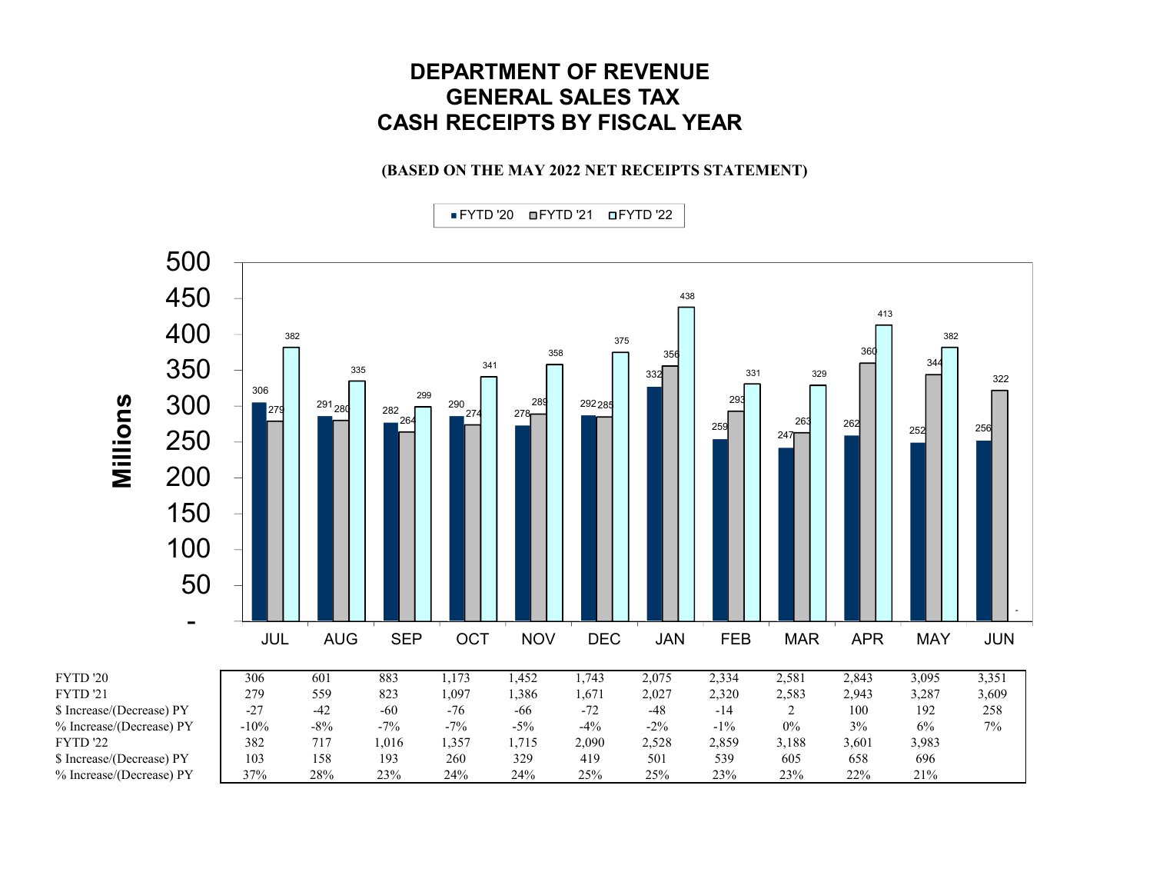## **DEPARTMENT OF REVENUEGENERAL SALES TAX CASH RECEIPTS BY FISCAL YEAR**

### **(BASED ON THE MAY 2022 NET RECEIPTS STATEMENT)**

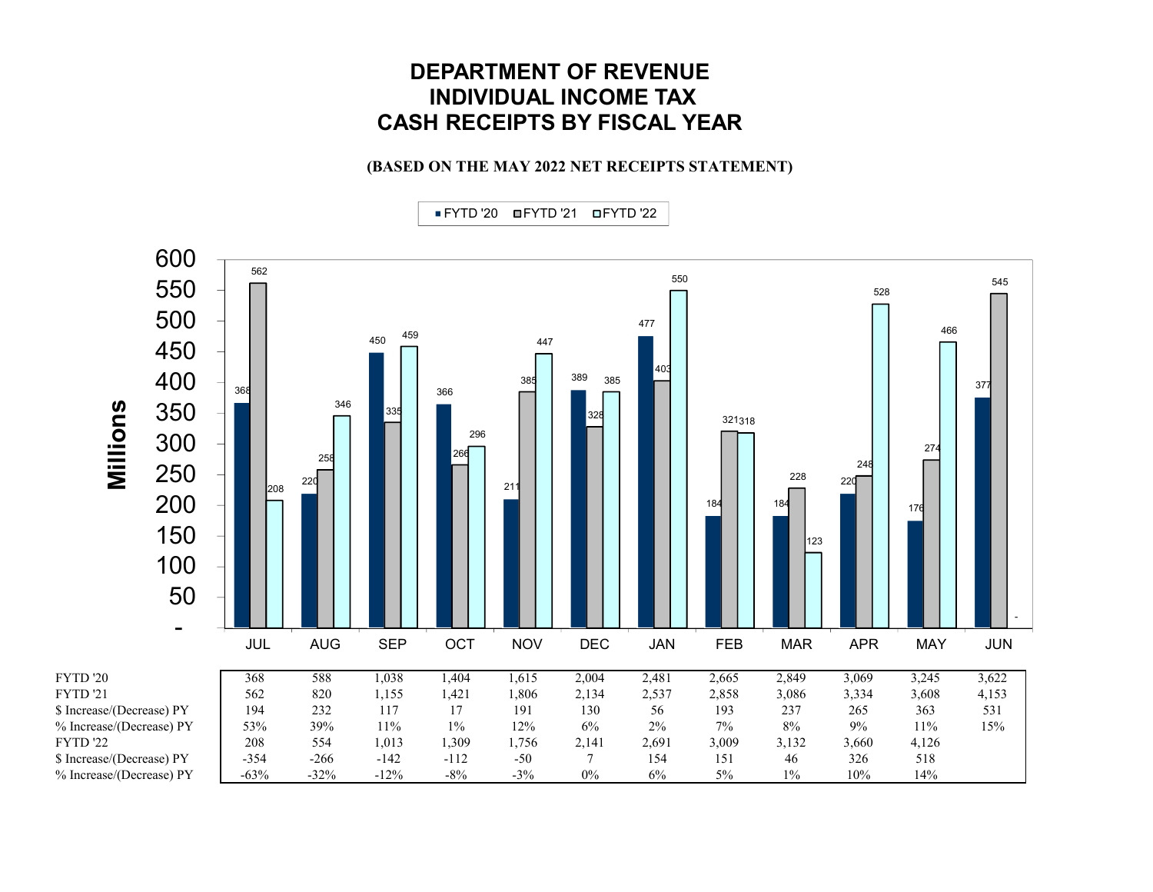## **DEPARTMENT OF REVENUEINDIVIDUAL INCOME TAX CASH RECEIPTS BY FISCAL YEAR**

### **(BASED ON THE MAY 2022 NET RECEIPTS STATEMENT)**

FYTD '20 368 588 1,038 1,404 1,615 2,004 2,481 2,665 2,849 3,069 3,245 3,622 FYTD '21 562 820 1,155 1,421 1,806 2,134 2,537 2,858 3,086 3,334 3,608 4,153 \$ Increase/(Decrease) PY 194 232 117 17 191 130 56 193 237 265 363 531 % Increase/(Decrease) PY 53% 39% 11% 1% 12% 6% 2% 7% 8% 9% 11% 15% FYTD '22 208 554 1,013 1,309 1,756 2,141 2,691 3,009 3,132 3,660 4,126 \$ Increase/(Decrease) PY -354 -266 -142 -112 -50 7 154 151 46 326 518 % Increase/(Decrease) PY -63% -32% -12% -8% -3% 0% 6% 5% 1% 10% 10% 14% 184 184 - JUL AUG SEP OCT NOV DEC JAN FEB MAR APR MAY JUN **Millions** FYTD '20 FYTD '21 FYTD '22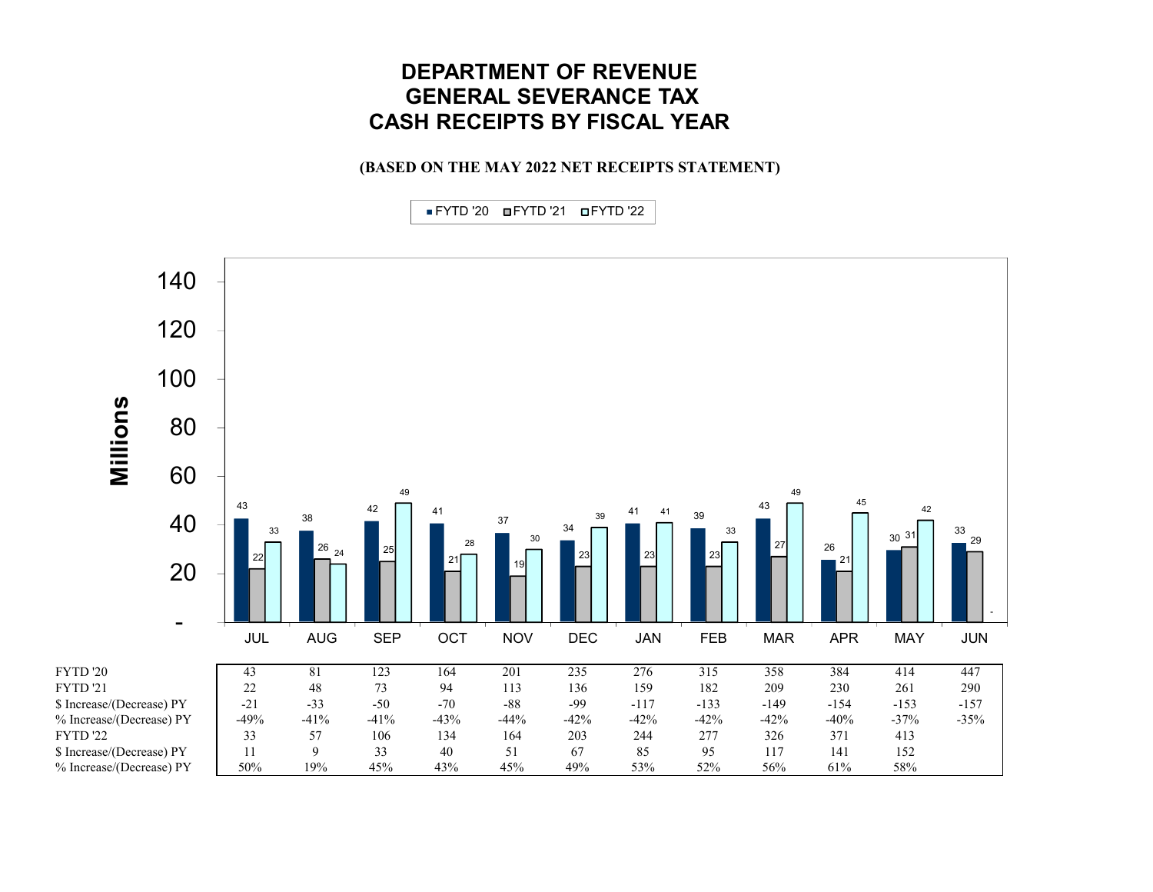### **DEPARTMENT OF REVENUEGENERAL SEVERANCE TAX CASH RECEIPTS BY FISCAL YEAR**

**(BASED ON THE MAY 2022 NET RECEIPTS STATEMENT)**

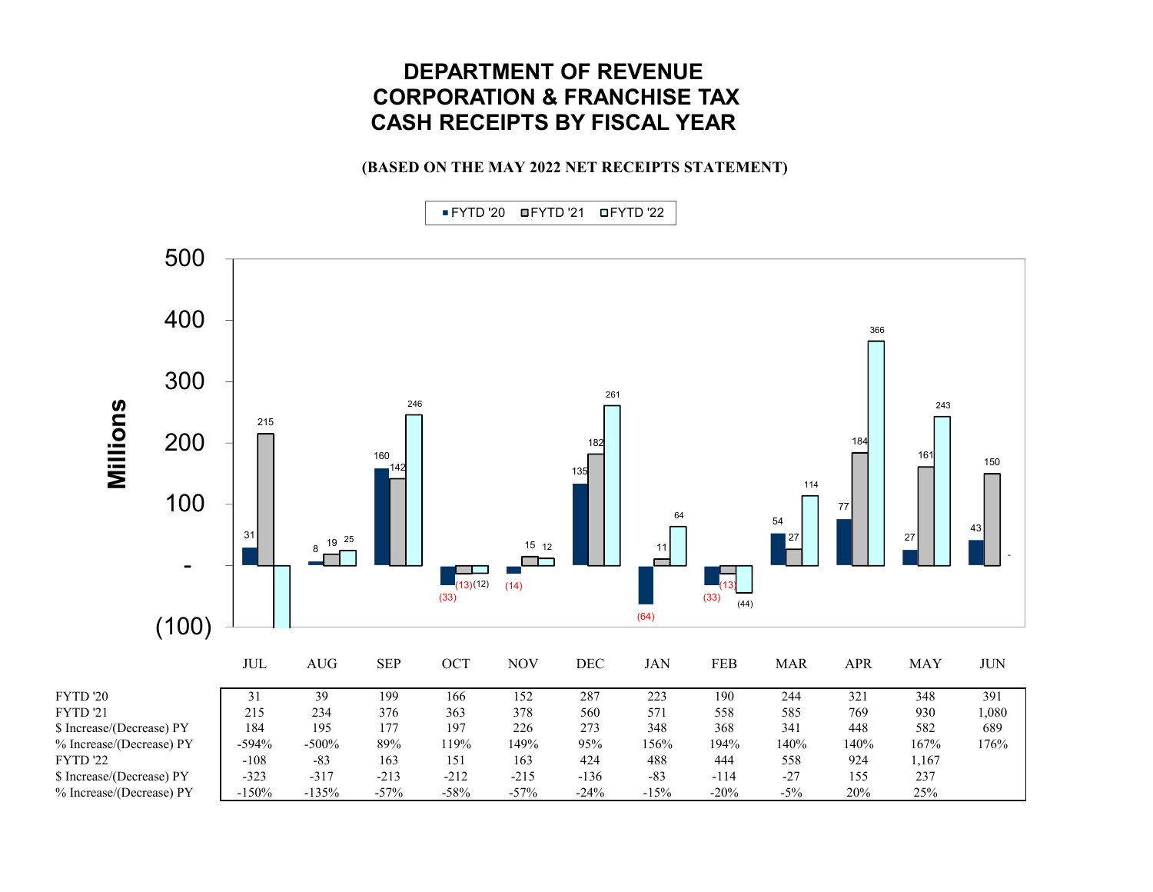## **DEPARTMENT OF REVENUECORPORATION & FRANCHISE TAX CASH RECEIPTS BY FISCAL YEAR**

### **(BASED ON THE MAY 2022 NET RECEIPTS STATEMENT)**

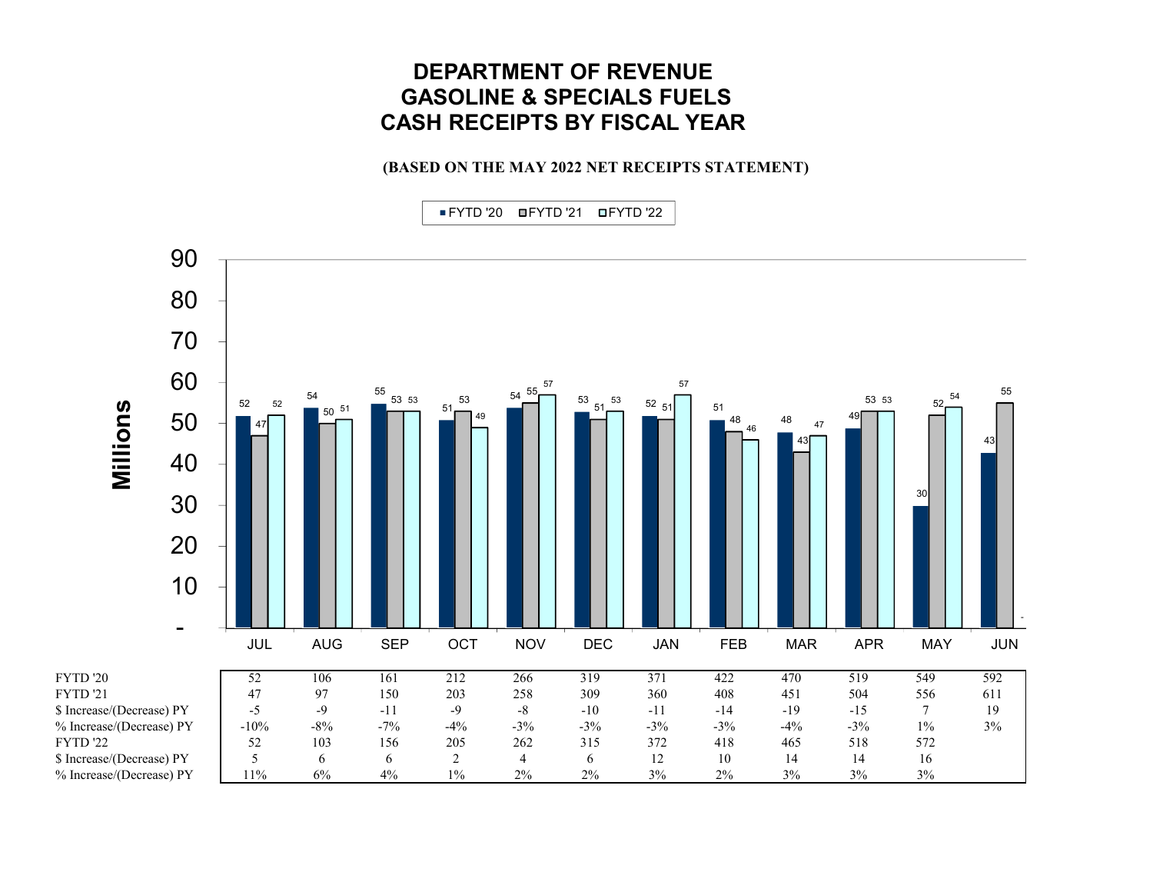## **DEPARTMENT OF REVENUEGASOLINE & SPECIALS FUELS CASH RECEIPTS BY FISCAL YEAR**

### **(BASED ON THE MAY 2022 NET RECEIPTS STATEMENT)**